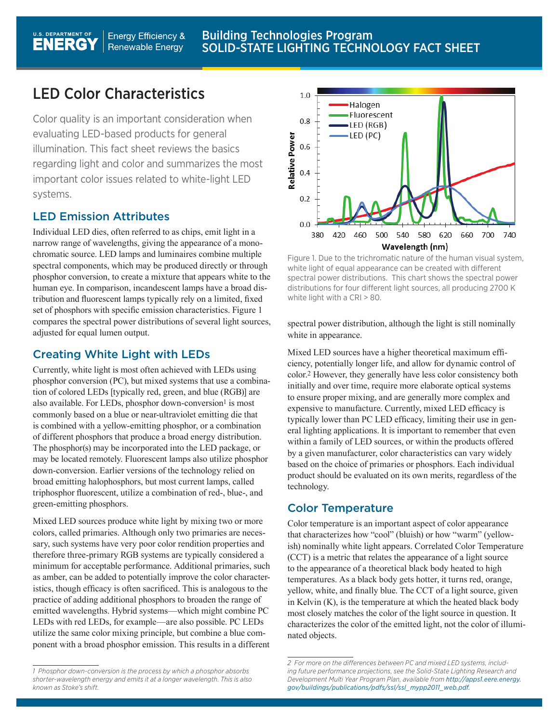# LED Color Characteristics

Color quality is an important consideration when evaluating LED-based products for general illumination. This fact sheet reviews the basics regarding light and color and summarizes the most important color issues related to white-light LED systems.

## LED Emission Attributes

Individual LED dies, often referred to as chips, emit light in a narrow range of wavelengths, giving the appearance of a monochromatic source. LED lamps and luminaires combine multiple spectral components, which may be produced directly or through phosphor conversion, to create a mixture that appears white to the human eye. In comparison, incandescent lamps have a broad distribution and fluorescent lamps typically rely on a limited, fixed set of phosphors with specific emission characteristics. Figure 1 compares the spectral power distributions of several light sources, adjusted for equal lumen output.

## Creating White Light with LEDs

Currently, white light is most often achieved with LEDs using phosphor conversion (PC), but mixed systems that use a combination of colored LEDs [typically red, green, and blue (RGB)] are also available. For LEDs, phosphor down-conversion<sup>1</sup> is most commonly based on a blue or near-ultraviolet emitting die that is combined with a yellow-emitting phosphor, or a combination of different phosphors that produce a broad energy distribution. The phosphor(s) may be incorporated into the LED package, or may be located remotely. Fluorescent lamps also utilize phosphor down-conversion. Earlier versions of the technology relied on broad emitting halophosphors, but most current lamps, called triphosphor fluorescent, utilize a combination of red-, blue-, and green-emitting phosphors.

Mixed LED sources produce white light by mixing two or more colors, called primaries. Although only two primaries are necessary, such systems have very poor color rendition properties and therefore three-primary RGB systems are typically considered a minimum for acceptable performance. Additional primaries, such as amber, can be added to potentially improve the color characteristics, though efficacy is often sacrificed. This is analogous to the practice of adding additional phosphors to broaden the range of emitted wavelengths. Hybrid systems—which might combine PC LEDs with red LEDs, for example—are also possible. PC LEDs utilize the same color mixing principle, but combine a blue component with a broad phosphor emission. This results in a different



1.0

 $0.8$ 

 $0.6$ 

 $0.4$ 

Relative Power

·Halogen Fluorescent

-LED (RGB)

-LED (PC)

spectral power distribution, although the light is still nominally white in appearance.

660

700

740

Mixed LED sources have a higher theoretical maximum efficiency, potentially longer life, and allow for dynamic control of color.2 However, they generally have less color consistency both initially and over time, require more elaborate optical systems to ensure proper mixing, and are generally more complex and expensive to manufacture. Currently, mixed LED efficacy is typically lower than PC LED efficacy, limiting their use in general lighting applications. It is important to remember that even within a family of LED sources, or within the products offered by a given manufacturer, color characteristics can vary widely based on the choice of primaries or phosphors. Each individual product should be evaluated on its own merits, regardless of the technology.

#### Color Temperature

Color temperature is an important aspect of color appearance that characterizes how "cool" (bluish) or how "warm" (yellowish) nominally white light appears. Correlated Color Temperature (CCT) is a metric that relates the appearance of a light source to the appearance of a theoretical black body heated to high temperatures. As a black body gets hotter, it turns red, orange, yellow, white, and finally blue. The CCT of a light source, given in Kelvin  $(K)$ , is the temperature at which the heated black body most closely matches the color of the light source in question. It characterizes the color of the emitted light, not the color of illuminated objects.

*<sup>1</sup> Phosphor down-conversion is the process by which a phosphor absorbs shorter-wavelength energy and emits it at a longer wavelength. This is also known as Stoke's shift.* 

*<sup>2</sup> For more on the differences between PC and mixed LED systems, including future performance projections, see the Solid-State Lighting Research and Development Multi Year Program Plan, available from http://apps1.eere.energy. gov/buildings/publications/pdfs/ssl/ssl\_mypp2011\_web.pdf.*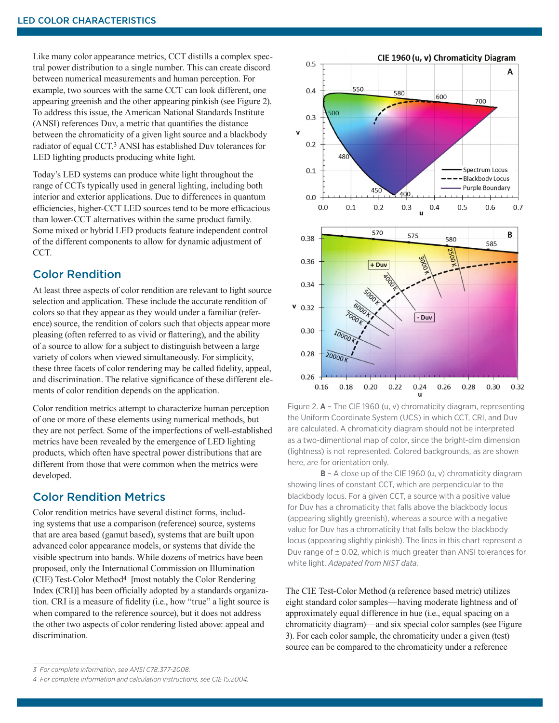Like many color appearance metrics, CCT distills a complex spectral power distribution to a single number. This can create discord between numerical measurements and human perception. For example, two sources with the same CCT can look different, one appearing greenish and the other appearing pinkish (see Figure 2). To address this issue, the American National Standards Institute (ANSI) references Duv, a metric that quantifies the distance between the chromaticity of a given light source and a blackbody radiator of equal CCT.3 ANSI has established Duv tolerances for LED lighting products producing white light.

Today's LED systems can produce white light throughout the range of CCTs typically used in general lighting, including both interior and exterior applications. Due to differences in quantum efficiencies, higher-CCT LED sources tend to be more efficacious than lower-CCT alternatives within the same product family. Some mixed or hybrid LED products feature independent control of the different components to allow for dynamic adjustment of CCT.

#### Color Rendition

At least three aspects of color rendition are relevant to light source selection and application. These include the accurate rendition of colors so that they appear as they would under a familiar (reference) source, the rendition of colors such that objects appear more pleasing (often referred to as vivid or flattering), and the ability of a source to allow for a subject to distinguish between a large variety of colors when viewed simultaneously. For simplicity, these three facets of color rendering may be called fidelity, appeal, and discrimination. The relative significance of these different elements of color rendition depends on the application.

Color rendition metrics attempt to characterize human perception of one or more of these elements using numerical methods, but they are not perfect. Some of the imperfections of well-established metrics have been revealed by the emergence of LED lighting products, which often have spectral power distributions that are different from those that were common when the metrics were developed.

#### Color Rendition Metrics

 tion. CRI is a measure of fidelity (i.e., how "true" a light source is Color rendition metrics have several distinct forms, including systems that use a comparison (reference) source, systems that are area based (gamut based), systems that are built upon advanced color appearance models, or systems that divide the visible spectrum into bands. While dozens of metrics have been proposed, only the International Commission on Illumination (CIE) Test-Color Method4 [most notably the Color Rendering Index (CRI)] has been officially adopted by a standards organizawhen compared to the reference source), but it does not address the other two aspects of color rendering listed above: appeal and discrimination.



Figure 2. **A** – The CIE 1960 (u, v) chromaticity diagram, representing the Uniform Coordinate System (UCS) in which CCT, CRI, and Duv are calculated. A chromaticity diagram should not be interpreted as a two-dimentional map of color, since the bright-dim dimension (lightness) is not represented. Colored backgrounds, as are shown here, are for orientation only.

**B** – A close up of the CIE 1960 (u, v) chromaticity diagram showing lines of constant CCT, which are perpendicular to the blackbody locus. For a given CCT, a source with a positive value for Duv has a chromaticity that falls above the blackbody locus (appearing slightly greenish), whereas a source with a negative value for Duv has a chromaticity that falls below the blackbody locus (appearing slightly pinkish). The lines in this chart represent a Duv range of ± 0.02, which is much greater than ANSI tolerances for white light. *Adapated from NIST data.* 

The CIE Test-Color Method (a reference based metric) utilizes eight standard color samples—having moderate lightness and of approximately equal difference in hue (i.e., equal spacing on a chromaticity diagram)—and six special color samples (see Figure 3). For each color sample, the chromaticity under a given (test) source can be compared to the chromaticity under a reference

*<sup>3</sup> For complete information, see ANSI C78.377-2008.* 

*<sup>4</sup> For complete information and calculation instructions, see CIE 15:2004.*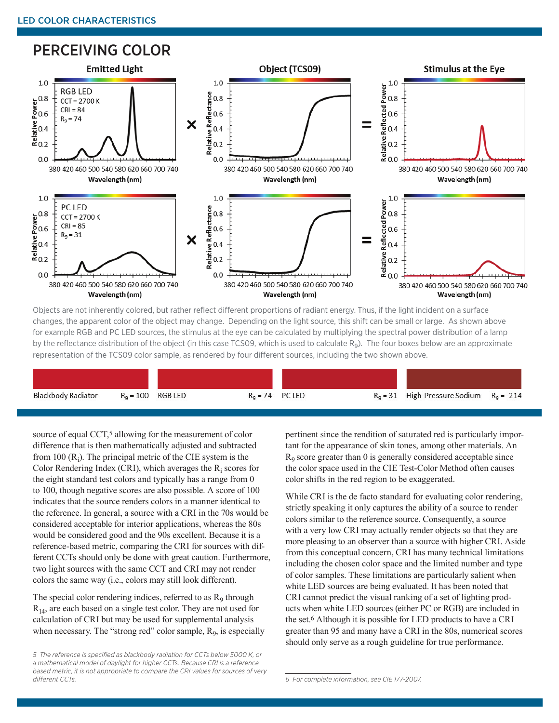

Objects are not inherently colored, but rather reflect different proportions of radiant energy. Thus, if the light incident on a surface changes, the apparent color of the object may change. Depending on the light source, this shift can be small or large. As shown above for example RGB and PC LED sources, the stimulus at the eye can be calculated by multiplying the spectral power distribution of a lamp by the reflectance distribution of the object (in this case TCS09, which is used to calculate R<sub>9</sub>). The four boxes below are an approximate representation of the TCS09 color sample, as rendered by four different sources, including the two shown above.

| Blackbody Radiator | $Rq = 100$ RGB LED |  | $R_q = 74$ PC LED | $R_q = 31$ High-Pressure Sodium $R_q = -214$ |  |
|--------------------|--------------------|--|-------------------|----------------------------------------------|--|

source of equal CCT,<sup>5</sup> allowing for the measurement of color difference that is then mathematically adjusted and subtracted from 100  $(R_i)$ . The principal metric of the CIE system is the Color Rendering Index (CRI), which averages the  $R_i$  scores for the eight standard test colors and typically has a range from 0 to 100, though negative scores are also possible. A score of 100 indicates that the source renders colors in a manner identical to the reference. In general, a source with a CRI in the 70s would be considered acceptable for interior applications, whereas the 80s would be considered good and the 90s excellent. Because it is a reference-based metric, comparing the CRI for sources with different CCTs should only be done with great caution. Furthermore, two light sources with the same CCT and CRI may not render colors the same way (i.e., colors may still look different).

The special color rendering indices, referred to as  $R<sub>9</sub>$  through  $R<sub>14</sub>$ , are each based on a single test color. They are not used for calculation of CRI but may be used for supplemental analysis when necessary. The "strong red" color sample,  $R<sub>9</sub>$ , is especially pertinent since the rendition of saturated red is particularly important for the appearance of skin tones, among other materials. An R9 score greater than 0 is generally considered acceptable since the color space used in the CIE Test-Color Method often causes color shifts in the red region to be exaggerated.

While CRI is the de facto standard for evaluating color rendering, strictly speaking it only captures the ability of a source to render colors similar to the reference source. Consequently, a source with a very low CRI may actually render objects so that they are more pleasing to an observer than a source with higher CRI. Aside from this conceptual concern, CRI has many technical limitations including the chosen color space and the limited number and type of color samples. These limitations are particularly salient when white LED sources are being evaluated. It has been noted that CRI cannot predict the visual ranking of a set of lighting products when white LED sources (either PC or RGB) are included in the set.6 Although it is possible for LED products to have a CRI greater than 95 and many have a CRI in the 80s, numerical scores should only serve as a rough guideline for true performance.

*<sup>5</sup> The reference is specified as blackbody radiation for CCTs below 5000 K, or a mathematical model of daylight for higher CCTs. Because CRI is a reference based metric, it is not appropriate to compare the CRI values for sources of very diff erent CCTs.* 

*<sup>6</sup> For complete information, see CIE 177-2007.*